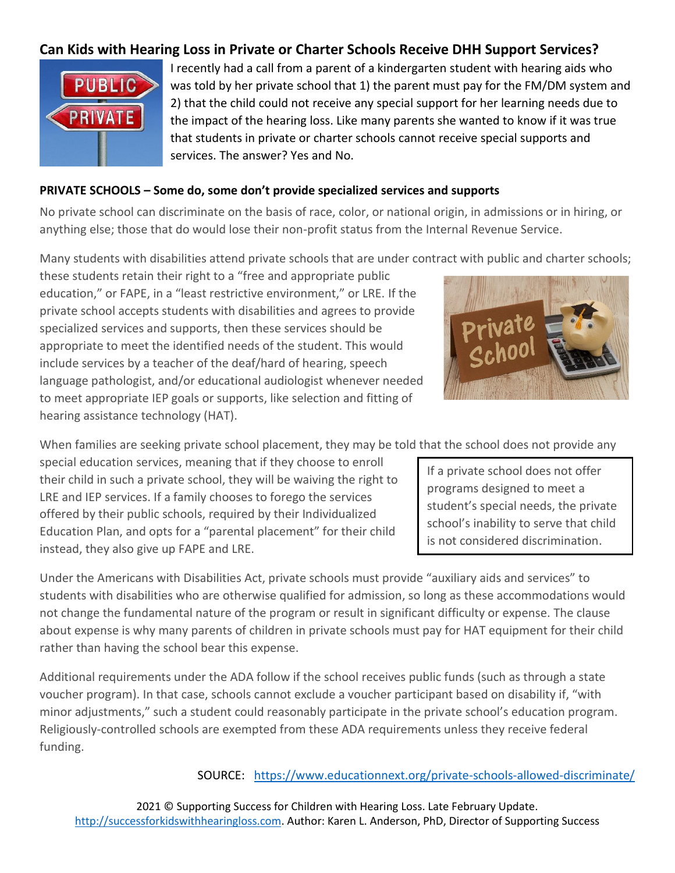# **Can Kids with Hearing Loss in Private or Charter Schools Receive DHH Support Services?**



I recently had a call from a parent of a kindergarten student with hearing aids who was told by her private school that 1) the parent must pay for the FM/DM system and 2) that the child could not receive any special support for her learning needs due to the impact of the hearing loss. Like many parents she wanted to know if it was true that students in private or charter schools cannot receive special supports and services. The answer? Yes and No.

#### **PRIVATE SCHOOLS – Some do, some don't provide specialized services and supports**

No private school can discriminate on the basis of race, color, or national origin, in admissions or in hiring, or anything else; those that do would lose their non-profit status from the Internal Revenue Service.

Many students with disabilities attend private schools that are under contract with public and charter schools;

these students retain their right to a "free and appropriate public education," or FAPE, in a "least restrictive environment," or LRE. If the private school accepts students with disabilities and agrees to provide specialized services and supports, then these services should be appropriate to meet the identified needs of the student. This would include services by a teacher of the deaf/hard of hearing, speech language pathologist, and/or educational audiologist whenever needed to meet appropriate IEP goals or supports, like selection and fitting of hearing assistance technology (HAT).



When families are seeking private school placement, they may be told that the school does not provide any

special education services, meaning that if they choose to enroll their child in such a private school, they will be waiving the right to LRE and IEP services. If a family chooses to forego the services offered by their public schools, required by their Individualized Education Plan, and opts for a "parental placement" for their child instead, they also give up FAPE and LRE.

Under the Americans with Disabilities Act, private schools must provide "auxiliary aids and services" to students with disabilities who are otherwise qualified for admission, so long as these accommodations would not change the fundamental nature of the program or result in significant difficulty or expense. The clause about expense is why many parents of children in private schools must pay for HAT equipment for their child rather than having the school bear this expense.

Additional requirements under the ADA follow if the school receives public funds (such as through a state voucher program). In that case, schools cannot exclude a voucher participant based on disability if, "with minor adjustments," such a student could reasonably participate in the private school's education program. Religiously-controlled schools are exempted from these ADA requirements unless they receive federal funding.

SOURCE: <https://www.educationnext.org/private-schools-allowed-discriminate/>

2021 © Supporting Success for Children with Hearing Loss. Late February Update. [http://successforkidswithhearingloss.com.](http://successforkidswithhearingloss.com/) Author: Karen L. Anderson, PhD, Director of Supporting Success

If a private school does not offer programs designed to meet a student's special needs, the private school's inability to serve that child is not considered discrimination.